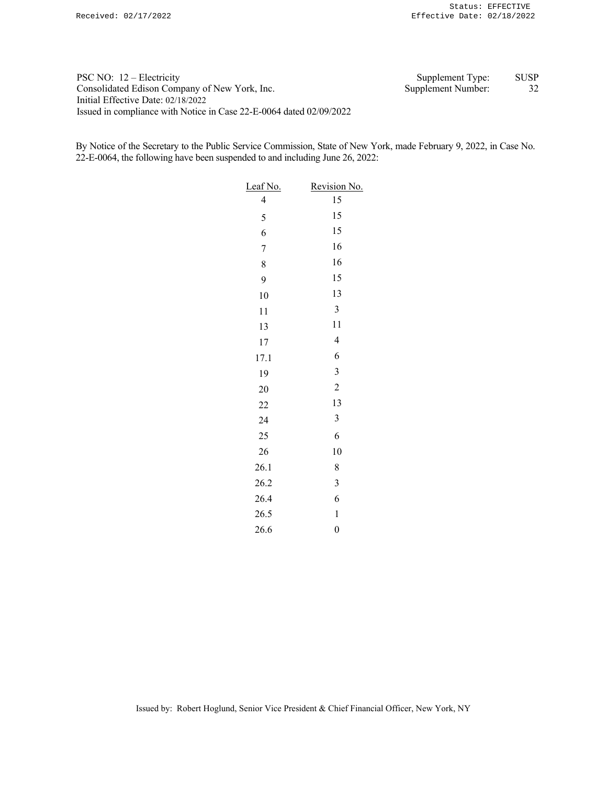PSC NO: 12 – Electricity Supplement Type: SUSP Consolidated Edison Company of New York, Inc. Supplement Number: 32 Initial Effective Date: 02/18/2022 Issued in compliance with Notice in Case 22-E-0064 dated 02/09/2022

By Notice of the Secretary to the Public Service Commission, State of New York, made February 9, 2022, in Case No. 22-E-0064, the following have been suspended to and including June 26, 2022:

| Leaf No.                 | Revision No.   |
|--------------------------|----------------|
| $\overline{\mathcal{L}}$ | 15             |
| 5                        | 15             |
| 6                        | 15             |
| $\overline{7}$           | 16             |
| 8                        | 16             |
| 9                        | 15             |
| 10                       | 13             |
| 11                       | $\mathfrak{Z}$ |
| 13                       | 11             |
| 17                       | $\overline{4}$ |
| 17.1                     | 6              |
| 19                       | 3              |
| 20                       | $\overline{c}$ |
| 22                       | 13             |
| 24                       | 3              |
| 25                       | 6              |
| 26                       | 10             |
| 26.1                     | 8              |
| 26.2                     | 3              |
| 26.4                     | 6              |
| 26.5                     | $\mathbf 1$    |
| 26.6                     | $\overline{0}$ |

Issued by: Robert Hoglund, Senior Vice President & Chief Financial Officer, New York, NY